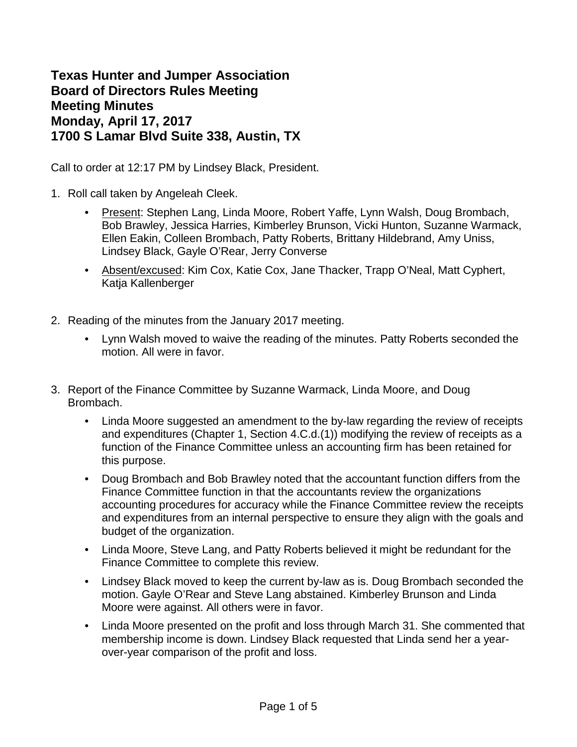**Texas Hunter and Jumper Association Board of Directors Rules Meeting Meeting Minutes Monday, April 17, 2017 1700 S Lamar Blvd Suite 338, Austin, TX**

Call to order at 12:17 PM by Lindsey Black, President.

- 1. Roll call taken by Angeleah Cleek.
	- Present: Stephen Lang, Linda Moore, Robert Yaffe, Lynn Walsh, Doug Brombach, Bob Brawley, Jessica Harries, Kimberley Brunson, Vicki Hunton, Suzanne Warmack, Ellen Eakin, Colleen Brombach, Patty Roberts, Brittany Hildebrand, Amy Uniss, Lindsey Black, Gayle O'Rear, Jerry Converse
	- Absent/excused: Kim Cox, Katie Cox, Jane Thacker, Trapp O'Neal, Matt Cyphert, Katja Kallenberger
- 2. Reading of the minutes from the January 2017 meeting.
	- Lynn Walsh moved to waive the reading of the minutes. Patty Roberts seconded the motion. All were in favor.
- 3. Report of the Finance Committee by Suzanne Warmack, Linda Moore, and Doug Brombach.
	- Linda Moore suggested an amendment to the by-law regarding the review of receipts and expenditures (Chapter 1, Section 4.C.d.(1)) modifying the review of receipts as a function of the Finance Committee unless an accounting firm has been retained for this purpose.
	- Doug Brombach and Bob Brawley noted that the accountant function differs from the Finance Committee function in that the accountants review the organizations accounting procedures for accuracy while the Finance Committee review the receipts and expenditures from an internal perspective to ensure they align with the goals and budget of the organization.
	- Linda Moore, Steve Lang, and Patty Roberts believed it might be redundant for the Finance Committee to complete this review.
	- Lindsey Black moved to keep the current by-law as is. Doug Brombach seconded the motion. Gayle O'Rear and Steve Lang abstained. Kimberley Brunson and Linda Moore were against. All others were in favor.
	- Linda Moore presented on the profit and loss through March 31. She commented that membership income is down. Lindsey Black requested that Linda send her a yearover-year comparison of the profit and loss.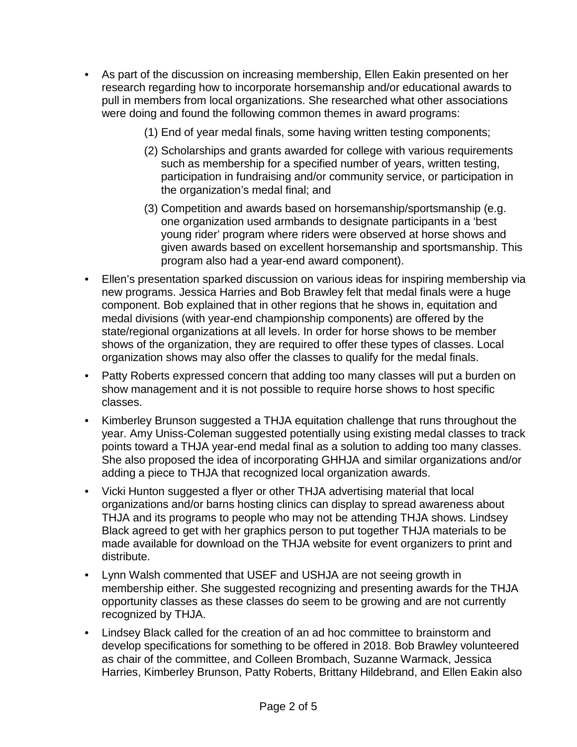- As part of the discussion on increasing membership, Ellen Eakin presented on her research regarding how to incorporate horsemanship and/or educational awards to pull in members from local organizations. She researched what other associations were doing and found the following common themes in award programs:
	- (1) End of year medal finals, some having written testing components;
	- (2) Scholarships and grants awarded for college with various requirements such as membership for a specified number of years, written testing, participation in fundraising and/or community service, or participation in the organization's medal final; and
	- (3) Competition and awards based on horsemanship/sportsmanship (e.g. one organization used armbands to designate participants in a 'best young rider' program where riders were observed at horse shows and given awards based on excellent horsemanship and sportsmanship. This program also had a year-end award component).
- Ellen's presentation sparked discussion on various ideas for inspiring membership via new programs. Jessica Harries and Bob Brawley felt that medal finals were a huge component. Bob explained that in other regions that he shows in, equitation and medal divisions (with year-end championship components) are offered by the state/regional organizations at all levels. In order for horse shows to be member shows of the organization, they are required to offer these types of classes. Local organization shows may also offer the classes to qualify for the medal finals.
- Patty Roberts expressed concern that adding too many classes will put a burden on show management and it is not possible to require horse shows to host specific classes.
- Kimberley Brunson suggested a THJA equitation challenge that runs throughout the year. Amy Uniss-Coleman suggested potentially using existing medal classes to track points toward a THJA year-end medal final as a solution to adding too many classes. She also proposed the idea of incorporating GHHJA and similar organizations and/or adding a piece to THJA that recognized local organization awards.
- Vicki Hunton suggested a flyer or other THJA advertising material that local organizations and/or barns hosting clinics can display to spread awareness about THJA and its programs to people who may not be attending THJA shows. Lindsey Black agreed to get with her graphics person to put together THJA materials to be made available for download on the THJA website for event organizers to print and distribute.
- Lynn Walsh commented that USEF and USHJA are not seeing growth in membership either. She suggested recognizing and presenting awards for the THJA opportunity classes as these classes do seem to be growing and are not currently recognized by THJA.
- Lindsey Black called for the creation of an ad hoc committee to brainstorm and develop specifications for something to be offered in 2018. Bob Brawley volunteered as chair of the committee, and Colleen Brombach, Suzanne Warmack, Jessica Harries, Kimberley Brunson, Patty Roberts, Brittany Hildebrand, and Ellen Eakin also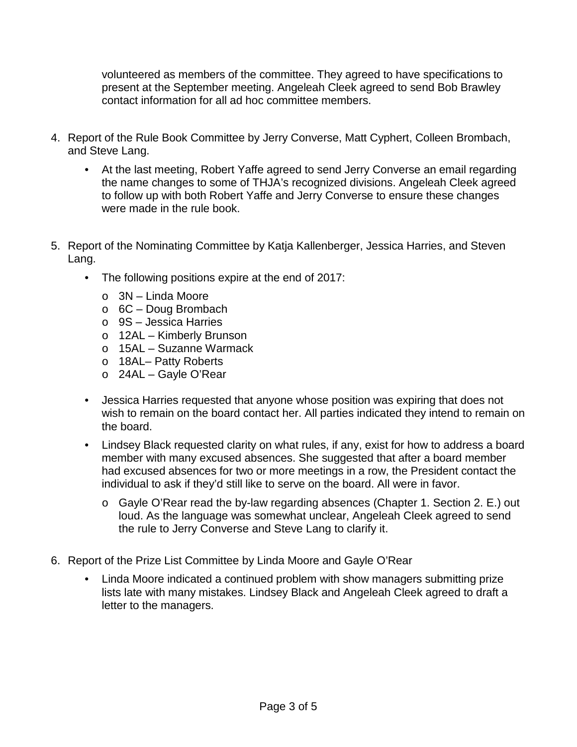volunteered as members of the committee. They agreed to have specifications to present at the September meeting. Angeleah Cleek agreed to send Bob Brawley contact information for all ad hoc committee members.

- 4. Report of the Rule Book Committee by Jerry Converse, Matt Cyphert, Colleen Brombach, and Steve Lang.
	- At the last meeting, Robert Yaffe agreed to send Jerry Converse an email regarding the name changes to some of THJA's recognized divisions. Angeleah Cleek agreed to follow up with both Robert Yaffe and Jerry Converse to ensure these changes were made in the rule book.
- 5. Report of the Nominating Committee by Katja Kallenberger, Jessica Harries, and Steven Lang.
	- The following positions expire at the end of 2017:
		- o 3N Linda Moore
		- o 6C Doug Brombach
		- o 9S Jessica Harries
		- o 12AL Kimberly Brunson
		- o 15AL Suzanne Warmack
		- o 18AL– Patty Roberts
		- o 24AL Gayle O'Rear
	- Jessica Harries requested that anyone whose position was expiring that does not wish to remain on the board contact her. All parties indicated they intend to remain on the board.
	- Lindsey Black requested clarity on what rules, if any, exist for how to address a board member with many excused absences. She suggested that after a board member had excused absences for two or more meetings in a row, the President contact the individual to ask if they'd still like to serve on the board. All were in favor.
		- o Gayle O'Rear read the by-law regarding absences (Chapter 1. Section 2. E.) out loud. As the language was somewhat unclear, Angeleah Cleek agreed to send the rule to Jerry Converse and Steve Lang to clarify it.
- 6. Report of the Prize List Committee by Linda Moore and Gayle O'Rear
	- Linda Moore indicated a continued problem with show managers submitting prize lists late with many mistakes. Lindsey Black and Angeleah Cleek agreed to draft a letter to the managers.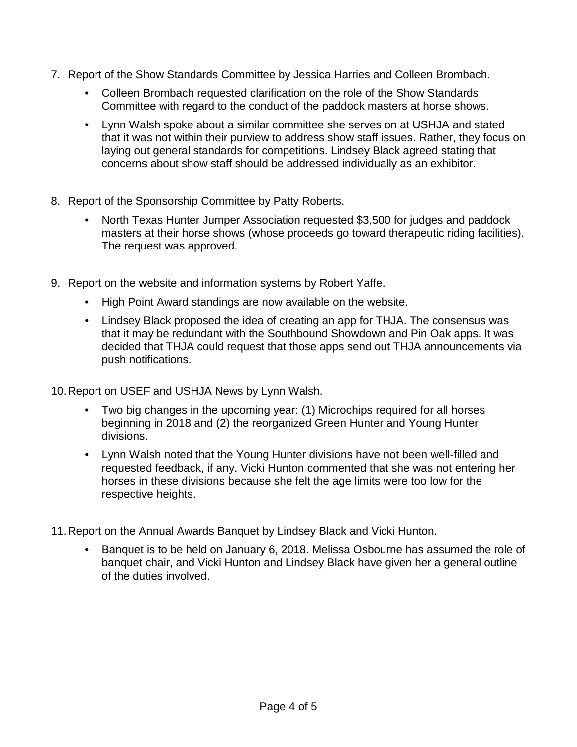- 7. Report of the Show Standards Committee by Jessica Harries and Colleen Brombach.
	- Colleen Brombach requested clarification on the role of the Show Standards Committee with regard to the conduct of the paddock masters at horse shows.
	- Lynn Walsh spoke about a similar committee she serves on at USHJA and stated that it was not within their purview to address show staff issues. Rather, they focus on laying out general standards for competitions. Lindsey Black agreed stating that concerns about show staff should be addressed individually as an exhibitor.
- 8. Report of the Sponsorship Committee by Patty Roberts.
	- North Texas Hunter Jumper Association requested \$3,500 for judges and paddock masters at their horse shows (whose proceeds go toward therapeutic riding facilities). The request was approved.
- 9. Report on the website and information systems by Robert Yaffe.
	- High Point Award standings are now available on the website.
	- Lindsey Black proposed the idea of creating an app for THJA. The consensus was that it may be redundant with the Southbound Showdown and Pin Oak apps. It was decided that THJA could request that those apps send out THJA announcements via push notifications.
- 10.Report on USEF and USHJA News by Lynn Walsh.
	- Two big changes in the upcoming year: (1) Microchips required for all horses beginning in 2018 and (2) the reorganized Green Hunter and Young Hunter divisions.
	- Lynn Walsh noted that the Young Hunter divisions have not been well-filled and requested feedback, if any. Vicki Hunton commented that she was not entering her horses in these divisions because she felt the age limits were too low for the respective heights.
- 11.Report on the Annual Awards Banquet by Lindsey Black and Vicki Hunton.
	- Banquet is to be held on January 6, 2018. Melissa Osbourne has assumed the role of banquet chair, and Vicki Hunton and Lindsey Black have given her a general outline of the duties involved.